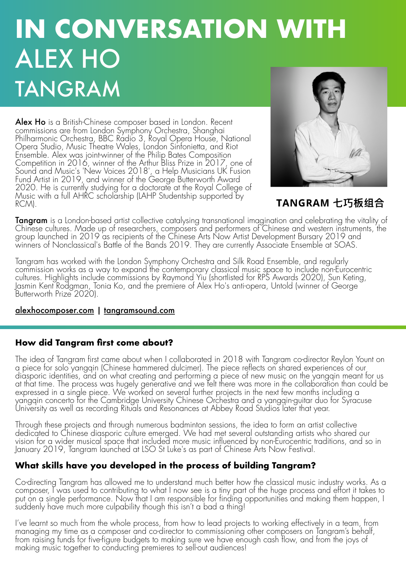# **IN CONVERSATION WITH** ALEX HO TANGRAM

Alex Ho is a British-Chinese composer based in London. Recent commissions are from London Symphony Orchestra, Shanghai Philharmonic Orchestra, BBC Rádio 3, Royal Opera House, National Opera Studio, Music Theatre Wales, London Sinfonietta, and Riot Ensemble. Alex was joint-winner of the Philip Bates Composition Competition in 2016, winner of the Arthur Bliss Prize in 2017, one of Sound and Music's 'New Voices 2018', a Help Musicians UK Fusion Fund Artist in 2019, and winner of the George Butterworth Award 2020. He is currently studying for a doctorate at the Royal College of Music with a full AHRC scholarship (LAHP Studentship supported by RCM).



# TANGRAM 七巧板组合

**Tangram** is a London-based artist collective catalysing transnational imagination and celebrating the vitality of<br>Chinese cultures. Made up of researchers, composers and performers of Chinese and western instruments, the group launched in 2019 as recipients of the Chinese Arts Now Artist Development Bursary 2019 and winners of Nonclassical's Battle of the Bands 2019. They are currently Associate Ensemble at SOAS.

Tangram has worked with the London Symphony Orchestra and Silk Road Ensemble, and regularly commission works as a way to expand the contemporary classical music space to include non-Eurocentric cultures. Highlights include commissions by Raymond Yiu (shortlisted for RPS Awards 2020), Sun Keting, Jasmin Kent Rodgman, Tonia Ko, and the premiere of Alex Ho's anti-opera, Untold (winner of George Butterworth Prize 2020).

#### alexhocomposer.com | tangramsound.com

## **How did Tangram first come about?**

The idea of Tangram first came about when I collaborated in 2018 with Tangram co-director Reylon Yount on a piece for solo yangqin (Chinese hammered dulcimer). The piece reflects on shared experiences of our diasporic identities, and on what creating and performing a piece of new music on the yangqin meant for us at that time. The process was hugely generative and we felt there was more in the collaboration than could be expressed in a single piece. We worked on several further projects in the next few months including a yangqin concerto for the Cambridge University Chinese Orchestra and a yangqin-guitar duo for Syracuse University as well as recording Rituals and Resonances at Abbey Road Studios later that year.

Through these projects and through numerous badminton sessions, the idea to form an artist collective dedicated to Chinese diasporic culture emerged. We had met several outstanding artists who shared our vision for a wider musical space that included more music influenced by non-Eurocentric traditions, and so in January 2019, Tangram launched at LSO St Luke's as part of Chinese Arts Now Festival.

## **What skills have you developed in the process of building Tangram?**

Co-directing Tangram has allowed me to understand much better how the classical music industry works. As a composer, I was used to contributing to what I now see is a tiny part of the huge process and effort it takes to put on a single performance. Now that I am responsible for finding opportunities and making them happen, I suddenly have much more culpability though this isn't a bad a thing!

I've learnt so much from the whole process, from how to lead projects to working effectively in a team, from managing my time as a composer and co-director to commissioning other composers on Tangram's behalf, from raising funds for five-figure budgets to making sure we have enough cash flow, and from the joys of making music together to conducting premieres to sell-out audiences!